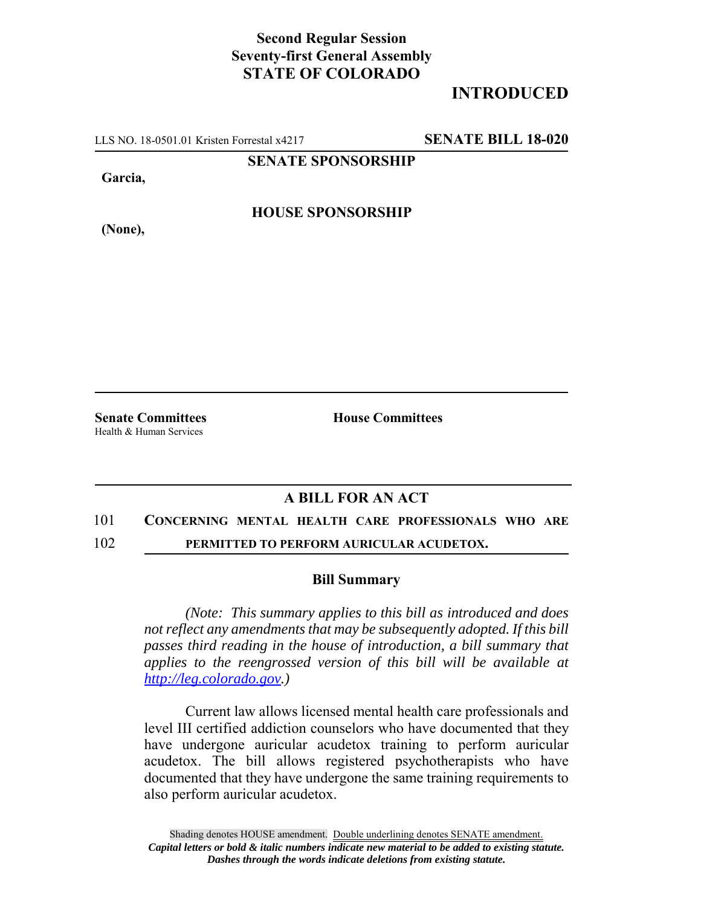## **Second Regular Session Seventy-first General Assembly STATE OF COLORADO**

# **INTRODUCED**

LLS NO. 18-0501.01 Kristen Forrestal x4217 **SENATE BILL 18-020**

**SENATE SPONSORSHIP**

**Garcia,**

**HOUSE SPONSORSHIP**

**(None),**

Health & Human Services

**Senate Committees House Committees** 

## **A BILL FOR AN ACT**

#### 101 **CONCERNING MENTAL HEALTH CARE PROFESSIONALS WHO ARE**

102 **PERMITTED TO PERFORM AURICULAR ACUDETOX.**

### **Bill Summary**

*(Note: This summary applies to this bill as introduced and does not reflect any amendments that may be subsequently adopted. If this bill passes third reading in the house of introduction, a bill summary that applies to the reengrossed version of this bill will be available at http://leg.colorado.gov.)*

Current law allows licensed mental health care professionals and level III certified addiction counselors who have documented that they have undergone auricular acudetox training to perform auricular acudetox. The bill allows registered psychotherapists who have documented that they have undergone the same training requirements to also perform auricular acudetox.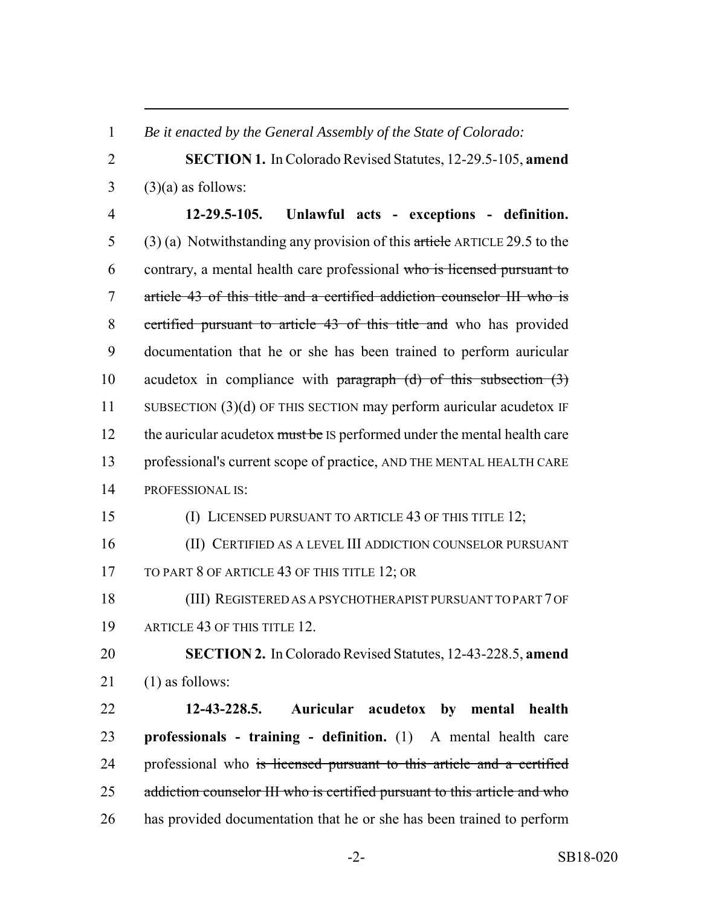*Be it enacted by the General Assembly of the State of Colorado:*

 **SECTION 1.** In Colorado Revised Statutes, 12-29.5-105, **amend** (3)(a) as follows:

 **12-29.5-105. Unlawful acts - exceptions - definition.** 5 (3) (a) Notwithstanding any provision of this article ARTICLE 29.5 to the contrary, a mental health care professional who is licensed pursuant to article 43 of this title and a certified addiction counselor III who is certified pursuant to article 43 of this title and who has provided documentation that he or she has been trained to perform auricular 10 acudetox in compliance with paragraph  $(d)$  of this subsection  $(3)$  SUBSECTION (3)(d) OF THIS SECTION may perform auricular acudetox IF 12 the auricular acudetox must be IS performed under the mental health care professional's current scope of practice, AND THE MENTAL HEALTH CARE PROFESSIONAL IS:

(I) LICENSED PURSUANT TO ARTICLE 43 OF THIS TITLE 12;

 (II) CERTIFIED AS A LEVEL III ADDICTION COUNSELOR PURSUANT 17 TO PART 8 OF ARTICLE 43 OF THIS TITLE 12; OR

 (III) REGISTERED AS A PSYCHOTHERAPIST PURSUANT TO PART 7 OF ARTICLE 43 OF THIS TITLE 12.

 **SECTION 2.** In Colorado Revised Statutes, 12-43-228.5, **amend** (1) as follows:

 **12-43-228.5. Auricular acudetox by mental health professionals - training - definition.** (1) A mental health care 24 professional who is licensed pursuant to this article and a certified 25 addiction counselor III who is certified pursuant to this article and who has provided documentation that he or she has been trained to perform